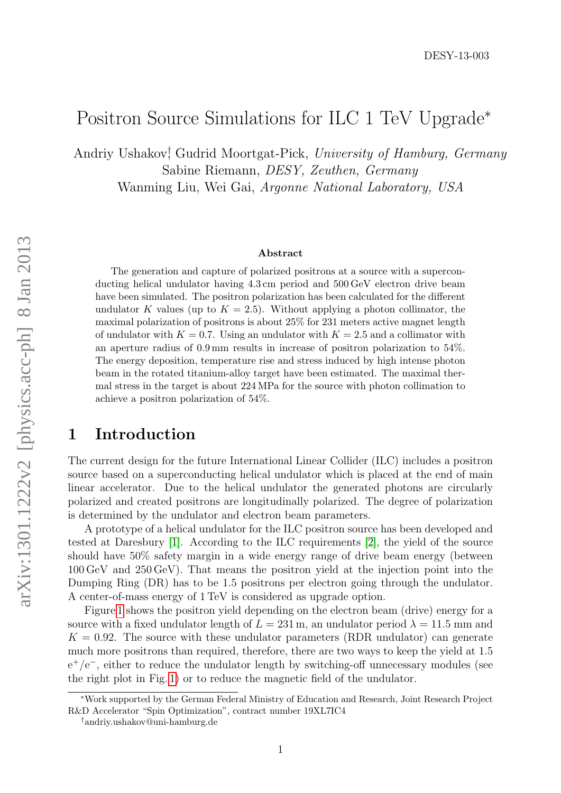# Positron Source Simulations for ILC 1 TeV Upgrade<sup>∗</sup>

Andriy Ushakov<sup>†</sup>, Gudrid Moortgat-Pick, University of Hamburg, Germany Sabine Riemann, DESY, Zeuthen, Germany Wanming Liu, Wei Gai, Argonne National Laboratory, USA

#### Abstract

The generation and capture of polarized positrons at a source with a superconducting helical undulator having 4.3 cm period and 500 GeV electron drive beam have been simulated. The positron polarization has been calculated for the different undulator K values (up to  $K = 2.5$ ). Without applying a photon collimator, the maximal polarization of positrons is about 25% for 231 meters active magnet length of undulator with  $K = 0.7$ . Using an undulator with  $K = 2.5$  and a collimator with an aperture radius of 0.9 mm results in increase of positron polarization to 54%. The energy deposition, temperature rise and stress induced by high intense photon beam in the rotated titanium-alloy target have been estimated. The maximal thermal stress in the target is about 224 MPa for the source with photon collimation to achieve a positron polarization of 54%.

#### 1 Introduction

The current design for the future International Linear Collider (ILC) includes a positron source based on a superconducting helical undulator which is placed at the end of main linear accelerator. Due to the helical undulator the generated photons are circularly polarized and created positrons are longitudinally polarized. The degree of polarization is determined by the undulator and electron beam parameters.

A prototype of a helical undulator for the ILC positron source has been developed and tested at Daresbury [\[1\]](#page-6-0). According to the ILC requirements [\[2\]](#page-7-0), the yield of the source should have 50% safety margin in a wide energy range of drive beam energy (between 100 GeV and 250 GeV). That means the positron yield at the injection point into the Dumping Ring (DR) has to be 1.5 positrons per electron going through the undulator. A center-of-mass energy of 1 TeV is considered as upgrade option.

Figure [1](#page-1-0) shows the positron yield depending on the electron beam (drive) energy for a source with a fixed undulator length of  $L = 231$  m, an undulator period  $\lambda = 11.5$  mm and  $K = 0.92$ . The source with these undulator parameters (RDR undulator) can generate much more positrons than required, therefore, there are two ways to keep the yield at 1.5 e <sup>+</sup>/e<sup>−</sup>, either to reduce the undulator length by switching-off unnecessary modules (see the right plot in Fig. [1\)](#page-1-0) or to reduce the magnetic field of the undulator.

<sup>∗</sup>Work supported by the German Federal Ministry of Education and Research, Joint Research Project R&D Accelerator "Spin Optimization", contract number 19XL7IC4

<sup>†</sup>andriy.ushakov@uni-hamburg.de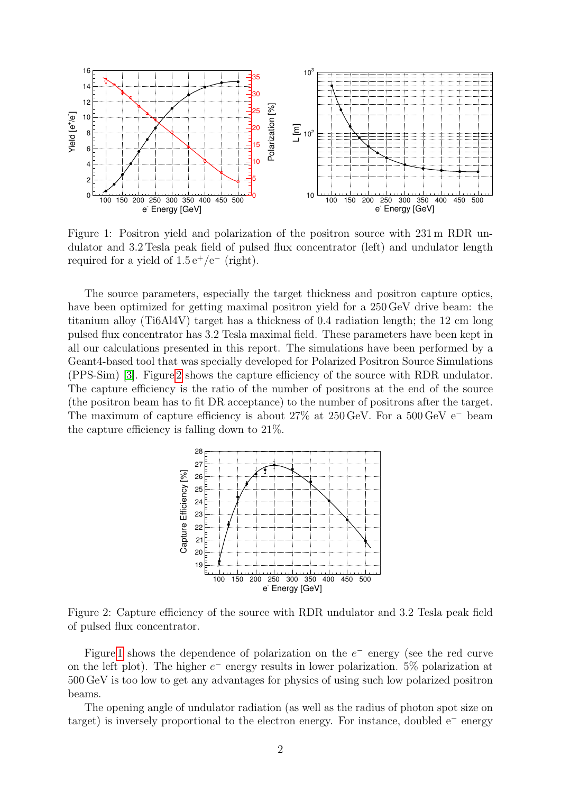

<span id="page-1-0"></span>Figure 1: Positron yield and polarization of the positron source with 231 m RDR undulator and 3.2 Tesla peak field of pulsed flux concentrator (left) and undulator length required for a yield of  $1.5 e^+/e^-$  (right).

The source parameters, especially the target thickness and positron capture optics, have been optimized for getting maximal positron yield for a 250 GeV drive beam: the titanium alloy (Ti6Al4V) target has a thickness of 0.4 radiation length; the 12 cm long pulsed flux concentrator has 3.2 Tesla maximal field. These parameters have been kept in all our calculations presented in this report. The simulations have been performed by a Geant4-based tool that was specially developed for Polarized Positron Source Simulations (PPS-Sim) [\[3\]](#page-7-1). Figure [2](#page-1-1) shows the capture efficiency of the source with RDR undulator. The capture efficiency is the ratio of the number of positrons at the end of the source (the positron beam has to fit DR acceptance) to the number of positrons after the target. The maximum of capture efficiency is about 27% at 250 GeV. For a 500 GeV e<sup>−</sup> beam the capture efficiency is falling down to 21%.



<span id="page-1-1"></span>Figure 2: Capture efficiency of the source with RDR undulator and 3.2 Tesla peak field of pulsed flux concentrator.

Figure [1](#page-1-0) shows the dependence of polarization on the  $e^-$  energy (see the red curve on the left plot). The higher  $e^-$  energy results in lower polarization. 5% polarization at 500 GeV is too low to get any advantages for physics of using such low polarized positron beams.

The opening angle of undulator radiation (as well as the radius of photon spot size on target) is inversely proportional to the electron energy. For instance, doubled e<sup>−</sup> energy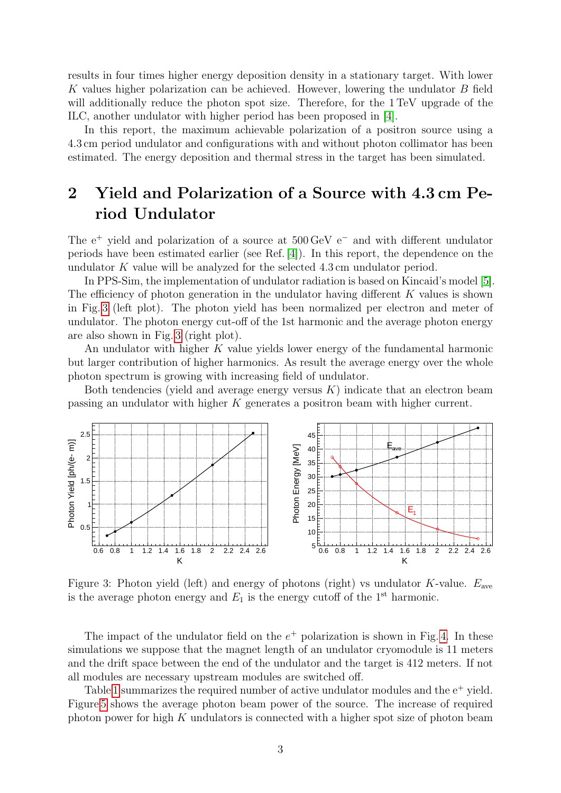results in four times higher energy deposition density in a stationary target. With lower K values higher polarization can be achieved. However, lowering the undulator B field will additionally reduce the photon spot size. Therefore, for the 1 TeV upgrade of the ILC, another undulator with higher period has been proposed in [\[4\]](#page-7-2).

In this report, the maximum achievable polarization of a positron source using a 4.3 cm period undulator and configurations with and without photon collimator has been estimated. The energy deposition and thermal stress in the target has been simulated.

## 2 Yield and Polarization of a Source with 4.3 cm Period Undulator

The e<sup>+</sup> yield and polarization of a source at 500 GeV e<sup>−</sup> and with different undulator periods have been estimated earlier (see Ref. [\[4\]](#page-7-2)). In this report, the dependence on the undulator K value will be analyzed for the selected 4.3 cm undulator period.

In PPS-Sim, the implementation of undulator radiation is based on Kincaid's model [\[5\]](#page-7-3). The efficiency of photon generation in the undulator having different  $K$  values is shown in Fig. [3](#page-2-0) (left plot). The photon yield has been normalized per electron and meter of undulator. The photon energy cut-off of the 1st harmonic and the average photon energy are also shown in Fig. [3](#page-2-0) (right plot).

An undulator with higher K value yields lower energy of the fundamental harmonic but larger contribution of higher harmonics. As result the average energy over the whole photon spectrum is growing with increasing field of undulator.

Both tendencies (yield and average energy versus  $K$ ) indicate that an electron beam passing an undulator with higher K generates a positron beam with higher current.



<span id="page-2-0"></span>Figure 3: Photon yield (left) and energy of photons (right) vs undulator K-value.  $E_{\text{ave}}$ is the average photon energy and  $E_1$  is the energy cutoff of the 1<sup>st</sup> harmonic.

The impact of the undulator field on the  $e^+$  polarization is shown in Fig. [4.](#page-3-0) In these simulations we suppose that the magnet length of an undulator cryomodule is 11 meters and the drift space between the end of the undulator and the target is 412 meters. If not all modules are necessary upstream modules are switched off.

Table [1](#page-3-1) summarizes the required number of active undulator modules and the  $e^+$  yield. Figure [5](#page-4-0) shows the average photon beam power of the source. The increase of required photon power for high  $K$  undulators is connected with a higher spot size of photon beam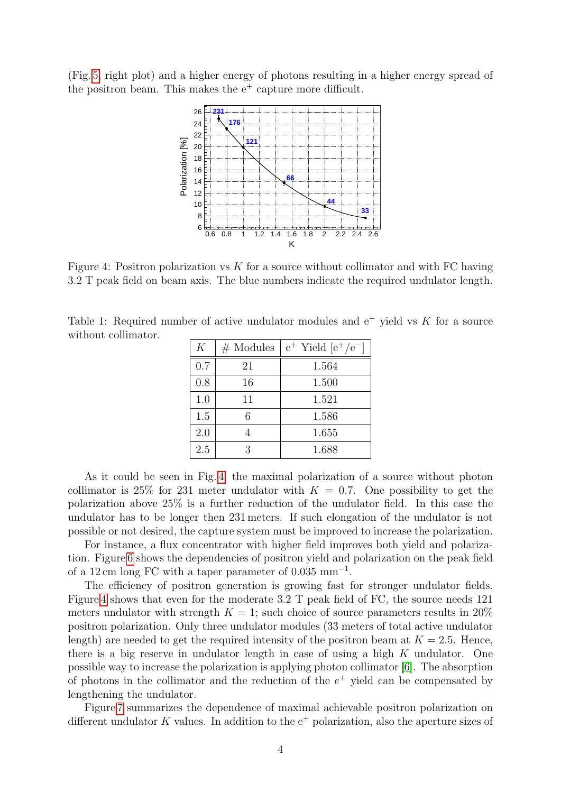(Fig. [5,](#page-4-0) right plot) and a higher energy of photons resulting in a higher energy spread of the positron beam. This makes the  $e^+$  capture more difficult.



<span id="page-3-0"></span>Figure 4: Positron polarization vs  $K$  for a source without collimator and with FC having 3.2 T peak field on beam axis. The blue numbers indicate the required undulator length.

<span id="page-3-1"></span>Table 1: Required number of active undulator modules and  $e^+$  yield vs K for a source without collimator.

| K   | $#$ Modules | $e^+$ Yield $[e^+/e^-]$ |
|-----|-------------|-------------------------|
| 0.7 | 21          | 1.564                   |
| 0.8 | 16          | 1.500                   |
| 1.0 | 11          | 1.521                   |
| 1.5 | 6           | 1.586                   |
| 2.0 |             | 1.655                   |
| 2.5 | 3           | 1.688                   |

As it could be seen in Fig. [4,](#page-3-0) the maximal polarization of a source without photon collimator is 25% for 231 meter undulator with  $K = 0.7$ . One possibility to get the polarization above 25% is a further reduction of the undulator field. In this case the undulator has to be longer then 231 meters. If such elongation of the undulator is not possible or not desired, the capture system must be improved to increase the polarization.

For instance, a flux concentrator with higher field improves both yield and polarization. Figure [6](#page-4-1) shows the dependencies of positron yield and polarization on the peak field of a 12 cm long FC with a taper parameter of  $0.035$  mm<sup>-1</sup>.

The efficiency of positron generation is growing fast for stronger undulator fields. Figure [4](#page-3-0) shows that even for the moderate 3.2 T peak field of FC, the source needs 121 meters undulator with strength  $K = 1$ ; such choice of source parameters results in 20% positron polarization. Only three undulator modules (33 meters of total active undulator length) are needed to get the required intensity of the positron beam at  $K = 2.5$ . Hence, there is a big reserve in undulator length in case of using a high  $K$  undulator. One possible way to increase the polarization is applying photon collimator [\[6\]](#page-7-4). The absorption of photons in the collimator and the reduction of the  $e^+$  yield can be compensated by lengthening the undulator.

Figure [7](#page-5-0) summarizes the dependence of maximal achievable positron polarization on different undulator K values. In addition to the  $e^+$  polarization, also the aperture sizes of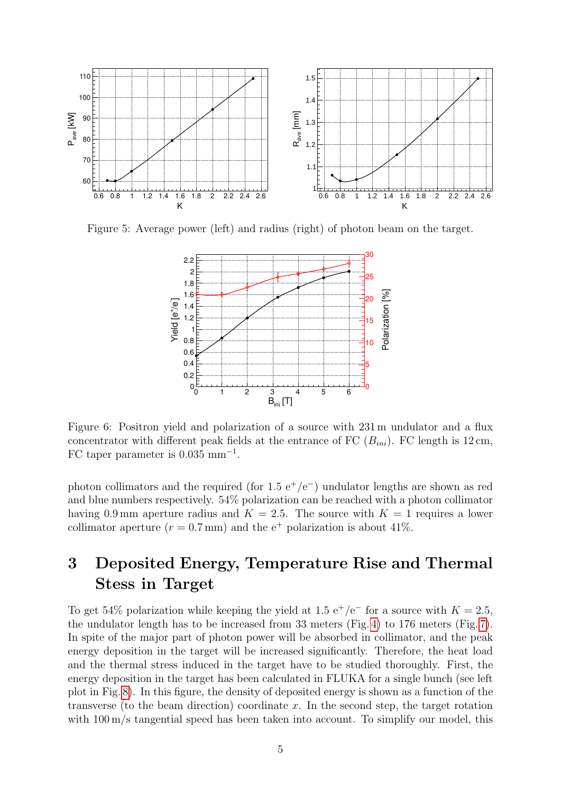

Figure 5: Average power (left) and radius (right) of photon beam on the target.

<span id="page-4-0"></span>

<span id="page-4-1"></span>Figure 6: Positron yield and polarization of a source with 231 m undulator and a flux concentrator with different peak fields at the entrance of FC  $(B_{ini})$ . FC length is 12 cm, FC taper parameter is  $0.035$  mm<sup>-1</sup>.

photon collimators and the required (for 1.5  $e^+/e^-$ ) undulator lengths are shown as red and blue numbers respectively. 54% polarization can be reached with a photon collimator having 0.9 mm aperture radius and  $K = 2.5$ . The source with  $K = 1$  requires a lower collimator aperture  $(r = 0.7 \text{ mm})$  and the e<sup>+</sup> polarization is about 41%.

# 3 Deposited Energy, Temperature Rise and Thermal Stess in Target

To get 54% polarization while keeping the yield at 1.5  $e^+/e^-$  for a source with  $K = 2.5$ , the undulator length has to be increased from 33 meters (Fig. [4\)](#page-3-0) to 176 meters (Fig. [7\)](#page-5-0). In spite of the major part of photon power will be absorbed in collimator, and the peak energy deposition in the target will be increased significantly. Therefore, the heat load and the thermal stress induced in the target have to be studied thoroughly. First, the energy deposition in the target has been calculated in FLUKA for a single bunch (see left plot in Fig. [8\)](#page-5-1). In this figure, the density of deposited energy is shown as a function of the transverse (to the beam direction) coordinate  $x$ . In the second step, the target rotation with  $100 \,\mathrm{m/s}$  tangential speed has been taken into account. To simplify our model, this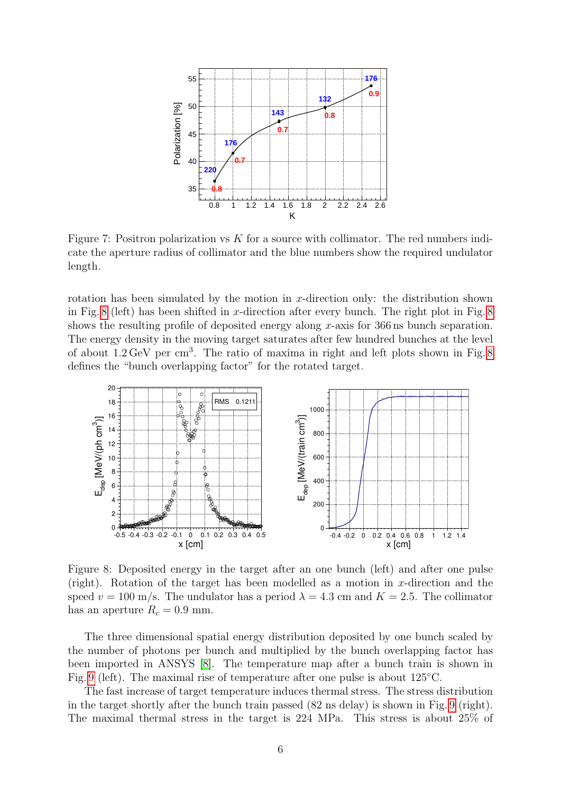

<span id="page-5-0"></span>Figure 7: Positron polarization vs  $K$  for a source with collimator. The red numbers indicate the aperture radius of collimator and the blue numbers show the required undulator length.

rotation has been simulated by the motion in x-direction only: the distribution shown in Fig. [8](#page-5-1) (left) has been shifted in x-direction after every bunch. The right plot in Fig. 8 shows the resulting profile of deposited energy along x-axis for 366 ns bunch separation. The energy density in the moving target saturates after few hundred bunches at the level of about  $1.2 \,\text{GeV}$  per cm<sup>3</sup>. The ratio of maxima in right and left plots shown in Fig. [8](#page-5-1) defines the "bunch overlapping factor" for the rotated target.



<span id="page-5-1"></span>Figure 8: Deposited energy in the target after an one bunch (left) and after one pulse (right). Rotation of the target has been modelled as a motion in x-direction and the speed  $v = 100$  m/s. The undulator has a period  $\lambda = 4.3$  cm and  $K = 2.5$ . The collimator has an aperture  $R_c = 0.9$  mm.

The three dimensional spatial energy distribution deposited by one bunch scaled by the number of photons per bunch and multiplied by the bunch overlapping factor has been imported in ANSYS [\[8\]](#page-7-5). The temperature map after a bunch train is shown in Fig. [9](#page-6-1) (left). The maximal rise of temperature after one pulse is about 125◦C.

The fast increase of target temperature induces thermal stress. The stress distribution in the target shortly after the bunch train passed (82 ns delay) is shown in Fig. [9](#page-6-1) (right). The maximal thermal stress in the target is 224 MPa. This stress is about 25% of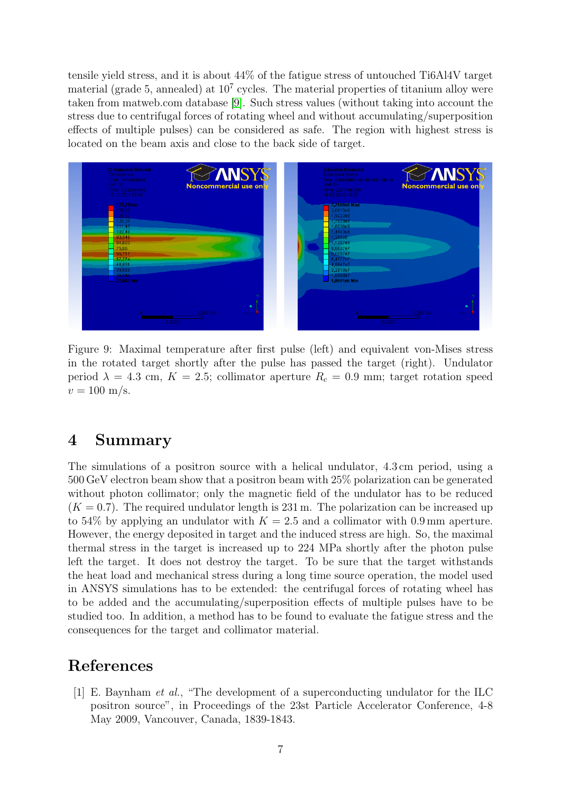tensile yield stress, and it is about 44% of the fatigue stress of untouched Ti6Al4V target material (grade 5, annealed) at  $10<sup>7</sup>$  cycles. The material properties of titanium alloy were taken from matweb.com database [\[9\]](#page-7-6). Such stress values (without taking into account the stress due to centrifugal forces of rotating wheel and without accumulating/superposition effects of multiple pulses) can be considered as safe. The region with highest stress is located on the beam axis and close to the back side of target.



<span id="page-6-1"></span>Figure 9: Maximal temperature after first pulse (left) and equivalent von-Mises stress in the rotated target shortly after the pulse has passed the target (right). Undulator period  $\lambda = 4.3$  cm,  $K = 2.5$ ; collimator aperture  $R_c = 0.9$  mm; target rotation speed  $v = 100 \text{ m/s}.$ 

#### 4 Summary

The simulations of a positron source with a helical undulator, 4.3 cm period, using a 500 GeV electron beam show that a positron beam with 25% polarization can be generated without photon collimator; only the magnetic field of the undulator has to be reduced  $(K = 0.7)$ . The required undulator length is 231 m. The polarization can be increased up to 54% by applying an undulator with  $K = 2.5$  and a collimator with 0.9 mm aperture. However, the energy deposited in target and the induced stress are high. So, the maximal thermal stress in the target is increased up to 224 MPa shortly after the photon pulse left the target. It does not destroy the target. To be sure that the target withstands the heat load and mechanical stress during a long time source operation, the model used in ANSYS simulations has to be extended: the centrifugal forces of rotating wheel has to be added and the accumulating/superposition effects of multiple pulses have to be studied too. In addition, a method has to be found to evaluate the fatigue stress and the consequences for the target and collimator material.

### References

<span id="page-6-0"></span>[1] E. Baynham et al., "The development of a superconducting undulator for the ILC positron source", in Proceedings of the 23st Particle Accelerator Conference, 4-8 May 2009, Vancouver, Canada, 1839-1843.